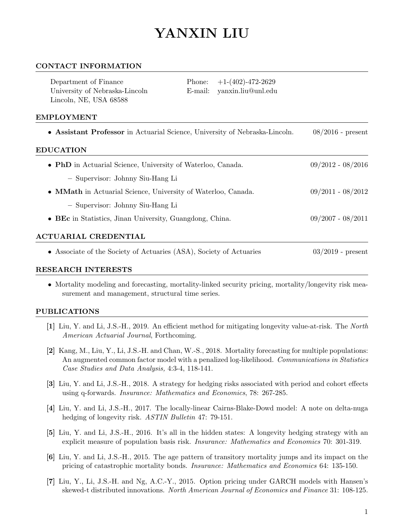# YANXIN LIU

### CONTACT INFORMATION

| Department of Finance<br>University of Nebraska-Lincoln<br>Lincoln, NE, USA 68588               | Phone:<br>E-mail: | $+1-(402)-472-2629$<br>yanxin.liu@unl.edu |                     |  |  |  |
|-------------------------------------------------------------------------------------------------|-------------------|-------------------------------------------|---------------------|--|--|--|
| <b>EMPLOYMENT</b>                                                                               |                   |                                           |                     |  |  |  |
| • Assistant Professor in Actuarial Science, University of Nebraska-Lincoln.<br><b>EDUCATION</b> |                   |                                           | $08/2016$ - present |  |  |  |
| • PhD in Actuarial Science, University of Waterloo, Canada.                                     |                   |                                           | $09/2012 - 08/2016$ |  |  |  |

- Supervisor: Johnny Siu-Hang Li
- **MMath** in Actuarial Science, University of Waterloo, Canada. 09/2011 08/2012
	- Supervisor: Johnny Siu-Hang Li
- BEc in Statistics, Jinan University, Guangdong, China. 09/2007 08/2011

## ACTUARIAL CREDENTIAL

• Associate of the Society of Actuaries (ASA), Society of Actuaries 03/2019 - present

#### RESEARCH INTERESTS

• Mortality modeling and forecasting, mortality-linked security pricing, mortality/longevity risk measurement and management, structural time series.

#### PUBLICATIONS

- [1] Liu, Y. and Li, J.S.-H., 2019. An efficient method for mitigating longevity value-at-risk. The North American Actuarial Journal, Forthcoming.
- [2] Kang, M., Liu, Y., Li, J.S.-H. and Chan, W.-S., 2018. Mortality forecasting for multiple populations: An augmented common factor model with a penalized log-likelihood. Communications in Statistics Case Studies and Data Analysis, 4:3-4, 118-141.
- [3] Liu, Y. and Li, J.S.-H., 2018. A strategy for hedging risks associated with period and cohort effects using q-forwards. Insurance: Mathematics and Economics, 78: 267-285.
- [4] Liu, Y. and Li, J.S.-H., 2017. The locally-linear Cairns-Blake-Dowd model: A note on delta-nuga hedging of longevity risk. ASTIN Bulletin 47: 79-151.
- [5] Liu, Y. and Li, J.S.-H., 2016. It's all in the hidden states: A longevity hedging strategy with an explicit measure of population basis risk. Insurance: Mathematics and Economics 70: 301-319.
- [6] Liu, Y. and Li, J.S.-H., 2015. The age pattern of transitory mortality jumps and its impact on the pricing of catastrophic mortality bonds. Insurance: Mathematics and Economics 64: 135-150.
- [7] Liu, Y., Li, J.S.-H. and Ng, A.C.-Y., 2015. Option pricing under GARCH models with Hansen's skewed-t distributed innovations. North American Journal of Economics and Finance 31: 108-125.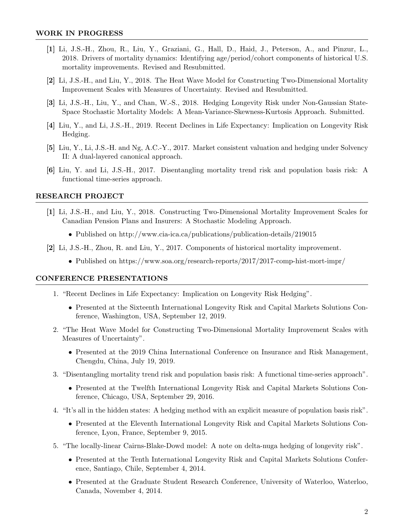- [1] Li, J.S.-H., Zhou, R., Liu, Y., Graziani, G., Hall, D., Haid, J., Peterson, A., and Pinzur, L., 2018. Drivers of mortality dynamics: Identifying age/period/cohort components of historical U.S. mortality improvements. Revised and Resubmitted.
- [2] Li, J.S.-H., and Liu, Y., 2018. The Heat Wave Model for Constructing Two-Dimensional Mortality Improvement Scales with Measures of Uncertainty. Revised and Resubmitted.
- [3] Li, J.S.-H., Liu, Y., and Chan, W.-S., 2018. Hedging Longevity Risk under Non-Gaussian State-Space Stochastic Mortality Models: A Mean-Variance-Skewness-Kurtosis Approach. Submitted.
- [4] Liu, Y., and Li, J.S.-H., 2019. Recent Declines in Life Expectancy: Implication on Longevity Risk Hedging.
- [5] Liu, Y., Li, J.S.-H. and Ng, A.C.-Y., 2017. Market consistent valuation and hedging under Solvency II: A dual-layered canonical approach.
- [6] Liu, Y. and Li, J.S.-H., 2017. Disentangling mortality trend risk and population basis risk: A functional time-series approach.

#### RESEARCH PROJECT

- [1] Li, J.S.-H., and Liu, Y., 2018. Constructing Two-Dimensional Mortality Improvement Scales for Canadian Pension Plans and Insurers: A Stochastic Modeling Approach.
	- Published on http://www.cia-ica.ca/publications/publication-details/219015
- [2] Li, J.S.-H., Zhou, R. and Liu, Y., 2017. Components of historical mortality improvement.
	- Published on https://www.soa.org/research-reports/2017/2017-comp-hist-mort-impr/

#### CONFERENCE PRESENTATIONS

- 1. "Recent Declines in Life Expectancy: Implication on Longevity Risk Hedging".
	- Presented at the Sixteenth International Longevity Risk and Capital Markets Solutions Conference, Washington, USA, September 12, 2019.
- 2. "The Heat Wave Model for Constructing Two-Dimensional Mortality Improvement Scales with Measures of Uncertainty".
	- Presented at the 2019 China International Conference on Insurance and Risk Management, Chengdu, China, July 19, 2019.
- 3. "Disentangling mortality trend risk and population basis risk: A functional time-series approach".
	- Presented at the Twelfth International Longevity Risk and Capital Markets Solutions Conference, Chicago, USA, September 29, 2016.
- 4. "It's all in the hidden states: A hedging method with an explicit measure of population basis risk".
	- Presented at the Eleventh International Longevity Risk and Capital Markets Solutions Conference, Lyon, France, September 9, 2015.
- 5. "The locally-linear Cairns-Blake-Dowd model: A note on delta-nuga hedging of longevity risk".
	- Presented at the Tenth International Longevity Risk and Capital Markets Solutions Conference, Santiago, Chile, September 4, 2014.
	- Presented at the Graduate Student Research Conference, University of Waterloo, Waterloo, Canada, November 4, 2014.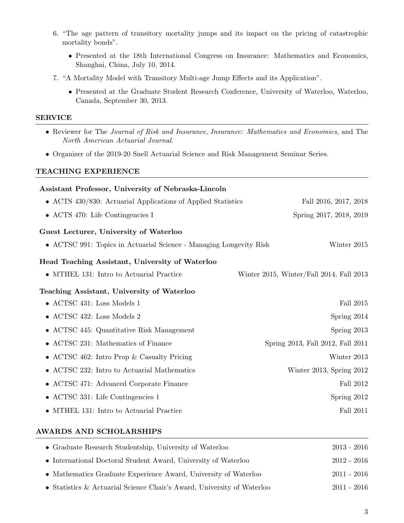- 6. "The age pattern of transitory mortality jumps and its impact on the pricing of catastrophic mortality bonds".
	- Presented at the 18th International Congress on Insurance: Mathematics and Economics, Shanghai, China, July 10, 2014.
- 7. "A Mortality Model with Transitory Multi-age Jump Effects and its Application".
	- Presented at the Graduate Student Research Conference, University of Waterloo, Waterloo, Canada, September 30, 2013.

## SERVICE

- Reviewer for The Journal of Risk and Insurance, Insurance: Mathematics and Economics, and The North American Actuarial Journal.
- Organizer of the 2019-20 Snell Actuarial Science and Risk Management Seminar Series.

## TEACHING EXPERIENCE

| Assistant Professor, University of Nebraska-Lincoln                |                                          |
|--------------------------------------------------------------------|------------------------------------------|
| • ACTS 430/830: Actuarial Applications of Applied Statistics       | Fall 2016, 2017, 2018                    |
| • ACTS 470: Life Contingencies I                                   | Spring 2017, 2018, 2019                  |
| Guest Lecturer, University of Waterloo                             |                                          |
| • ACTSC 991: Topics in Actuarial Science - Managing Longevity Risk | Winter 2015                              |
| Head Teaching Assistant, University of Waterloo                    |                                          |
| • MTHEL 131: Intro to Actuarial Practice                           | Winter 2015, Winter/Fall 2014, Fall 2013 |
| Teaching Assistant, University of Waterloo                         |                                          |
| • ACTSC 431: Loss Models 1                                         | Fall 2015                                |
| $\bullet$ ACTSC 432: Loss Models 2                                 | Spring 2014                              |
| • ACTSC 445: Quantitative Risk Management                          | Spring 2013                              |
| • ACTSC 231: Mathematics of Finance                                | Spring 2013, Fall 2012, Fall 2011        |
| • ACTSC 462: Intro Prop & Casualty Pricing                         | Winter 2013                              |
| • ACTSC 232: Intro to Actuarial Mathematics                        | Winter 2013, Spring 2012                 |
| • ACTSC 471: Advanced Corporate Finance                            | Fall 2012                                |
| • ACTSC 331: Life Contingencies 1                                  | Spring 2012                              |
| • MTHEL 131: Intro to Actuarial Practice                           | <b>Fall 2011</b>                         |
|                                                                    |                                          |

## AWARDS AND SCHOLARSHIPS

| • Graduate Research Studentship, University of Waterloo                | $2013 - 2016$ |
|------------------------------------------------------------------------|---------------|
| • International Doctoral Student Award, University of Waterloo         | $2012 - 2016$ |
| • Mathematics Graduate Experience Award, University of Waterloo        | $2011 - 2016$ |
| • Statistics & Actuarial Science Chair's Award, University of Waterloo | $2011 - 2016$ |